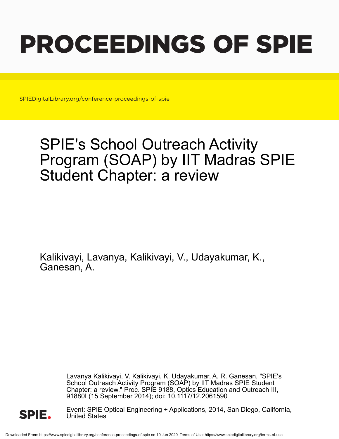# PROCEEDINGS OF SPIE

SPIEDigitalLibrary.org/conference-proceedings-of-spie

## SPIE's School Outreach Activity Program (SOAP) by IIT Madras SPIE Student Chapter: a review

Kalikivayi, Lavanya, Kalikivayi, V., Udayakumar, K., Ganesan, A.

> Lavanya Kalikivayi, V. Kalikivayi, K. Udayakumar, A. R. Ganesan, "SPIE's School Outreach Activity Program (SOAP) by IIT Madras SPIE Student Chapter: a review," Proc. SPIE 9188, Optics Education and Outreach III, 91880I (15 September 2014); doi: 10.1117/12.2061590



Event: SPIE Optical Engineering + Applications, 2014, San Diego, California, United States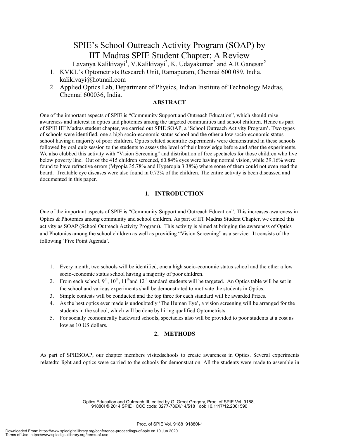### SPIE's School Outreach Activity Program (SOAP) by IIT Madras SPIE Student Chapter: A Review

Lavanya Kalikivayi<sup>1</sup>, V.Kalikivayi<sup>2</sup>, K. Udayakumar<sup>2</sup> and A.R.Ganesan<sup>2</sup>

- 1. KVKL's Optometrists Research Unit, Ramapuram, Chennai 600 089, India. kalikivayi@hotmail.com
- 2. Applied Optics Lab, Department of Physics, Indian Institute of Technology Madras, Chennai 600036, India.

#### **ABSTRACT**

One of the important aspects of SPIE is "Community Support and Outreach Education", which should raise awareness and interest in optics and photonics among the targeted communities and school children. Hence as part of SPIE IIT Madras student chapter, we carried out SPIE SOAP, a 'School Outreach Activity Program'. Two types of schools were identified, one a high socio-economic status school and the other a low socio-economic status school having a majority of poor children. Optics related scientific experiments were demonstrated in these schools followed by oral quiz session to the students to assess the level of their knowledge before and after the experiments. We also clubbed this activity with "Vision Screening" and distribution of free spectacles for those children who live below poverty line. Out of the 415 children screened, 60.84% eyes were having normal vision, while 39.16% were found to have refractive errors (Myopia 35.78% and Hyperopia 3.38%) where some of them could not even read the board. Treatable eye diseases were also found in 0.72% of the children. The entire activity is been discussed and documented in this paper.

#### **1. INTRODUCTION**

One of the important aspects of SPIE is "Community Support and Outreach Education". This increases awareness in Optics & Photonics among community and school children. As part of IIT Madras Student Chapter, we coined this activity as SOAP (School Outreach Activity Program). This activity is aimed at bringing the awareness of Optics and Photonics among the school children as well as providing "Vision Screening" as a service. It consists of the following 'Five Point Agenda'.

- 1. Every month, two schools will be identified, one a high socio-economic status school and the other a low socio-economic status school having a majority of poor children.
- 2. From each school,  $9<sup>th</sup>$ ,  $10<sup>th</sup>$ ,  $11<sup>th</sup>$  and  $12<sup>th</sup>$  standard students will be targeted. An Optics table will be set in the school and various experiments shall be demonstrated to motivate the students in Optics.
- 3. Simple contests will be conducted and the top three for each standard will be awarded Prizes.
- 4. As the best optics ever made is undoubtedly 'The Human Eye', a vision screening will be arranged for the students in the school, which will be done by hiring qualified Optometrists.
- 5. For socially economically backward schools, spectacles also will be provided to poor students at a cost as low as 10 US dollars.

#### **2. METHODS**

As part of SPIESOAP, our chapter members visitedschools to create awareness in Optics. Several experiments relatedto light and optics were carried to the schools for demonstration. All the students were made to assemble in

> Optics Education and Outreach III, edited by G. Groot Gregory, Proc. of SPIE Vol. 9188, 91880I © 2014 SPIE · CCC code: 0277-786X/14/\$18 · doi: 10.1117/12.2061590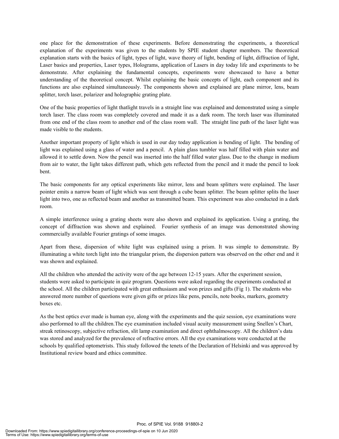one place for the demonstration of these experiments. Before demonstrating the experiments, a theoretical explanation of the experiments was given to the students by SPIE student chapter members. The theoretical explanation starts with the basics of light, types of light, wave theory of light, bending of light, diffraction of light, Laser basics and properties, Laser types, Holograms, application of Lasers in day today life and experiments to be demonstrate. After explaining the fundamental concepts, experiments were showcased to have a better understanding of the theoretical concept. Whilst explaining the basic concepts of light, each component and its functions are also explained simultaneously. The components shown and explained are plane mirror, lens, beam splitter, torch laser, polarizer and holographic grating plate.

One of the basic properties of light thatlight travels in a straight line was explained and demonstrated using a simple torch laser. The class room was completely covered and made it as a dark room. The torch laser was illuminated from one end of the class room to another end of the class room wall. The straight line path of the laser light was made visible to the students.

Another important property of light which is used in our day today application is bending of light. The bending of light was explained using a glass of water and a pencil. A plain glass tumbler was half filled with plain water and allowed it to settle down. Now the pencil was inserted into the half filled water glass. Due to the change in medium from air to water, the light takes different path, which gets reflected from the pencil and it made the pencil to look bent.

The basic components for any optical experiments like mirror, lens and beam splitters were explained. The laser pointer emits a narrow beam of light which was sent through a cube beam splitter. The beam splitter splits the laser light into two, one as reflected beam and another as transmitted beam. This experiment was also conducted in a dark room.

A simple interference using a grating sheets were also shown and explained its application. Using a grating, the concept of diffraction was shown and explained. Fourier synthesis of an image was demonstrated showing commercially available Fourier gratings of some images.

Apart from these, dispersion of white light was explained using a prism. It was simple to demonstrate. By illuminating a white torch light into the triangular prism, the dispersion pattern was observed on the other end and it was shown and explained.

All the children who attended the activity were of the age between 12-15 years. After the experiment session, students were asked to participate in quiz program. Questions were asked regarding the experiments conducted at the school. All the children participated with great enthusiasm and won prizes and gifts (Fig 1). The students who answered more number of questions were given gifts or prizes like pens, pencils, note books, markers, geometry boxes etc.

As the best optics ever made is human eye, along with the experiments and the quiz session, eye examinations were also performed to all the children.The eye examination included visual acuity measurement using Snellen's Chart, streak retinoscopy, subjective refraction, slit lamp examination and direct ophthalmoscopy. All the children's data was stored and analyzed for the prevalence of refractive errors. All the eye examinations were conducted at the schools by qualified optometrists. This study followed the tenets of the Declaration of Helsinki and was approved by Institutional review board and ethics committee.

Proc. of SPIE Vol. 9188 91880I-2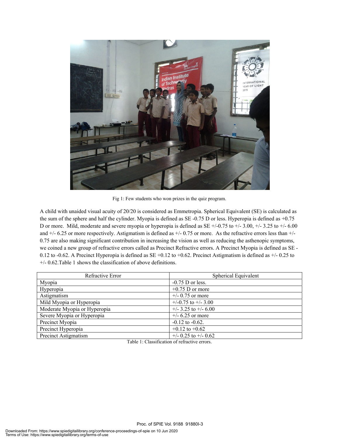

Fig 1: Few students who won prizes in the quiz program.

A child with unaided visual acuity of 20/20 is considered as Emmetropia. Spherical Equivalent (SE) is calculated as the sum of the sphere and half the cylinder. Myopia is defined as SE -0.75 D or less. Hyperopia is defined as +0.75 D or more. Mild, moderate and severe myopia or hyperopia is defined as  $SE +1/-7.75$  to  $+/-3.00$ ,  $+/-3.25$  to  $+/-6.00$ and +/- 6.25 or more respectively. Astigmatism is defined as +/- 0.75 or more. As the refractive errors less than +/- 0.75 are also making significant contribution in increasing the vision as well as reducing the asthenopic symptoms, we coined a new group of refractive errors called as Precinct Refractive errors. A Precinct Myopia is defined as SE - 0.12 to -0.62. A Precinct Hyperopia is defined as SE +0.12 to +0.62. Precinct Astigmatism is defined as  $+/-0.25$  to +/- 0.62.Table 1 shows the classification of above definitions.

| Refractive Error             | <b>Spherical Equivalent</b> |  |  |
|------------------------------|-----------------------------|--|--|
| Myopia                       | $-0.75$ D or less.          |  |  |
| Hyperopia                    | $+0.75$ D or more           |  |  |
| Astigmatism                  | $+/- 0.75$ or more          |  |  |
| Mild Myopia or Hyperopia     | $+/-0.75$ to $+/-3.00$      |  |  |
| Moderate Myopia or Hyperopia | $+/-$ 3.25 to $+/-$ 6.00    |  |  |
| Severe Myopia or Hyperopia   | $+/- 6.25$ or more          |  |  |
| Precinct Myopia              | $-0.12$ to $-0.62$ .        |  |  |
| Precinct Hyperopia           | $+0.12$ to $+0.62$          |  |  |
| Precinct Astigmatism         | $+/- 0.25$ to $+/- 0.62$    |  |  |

Table 1: Classification of refractive errors.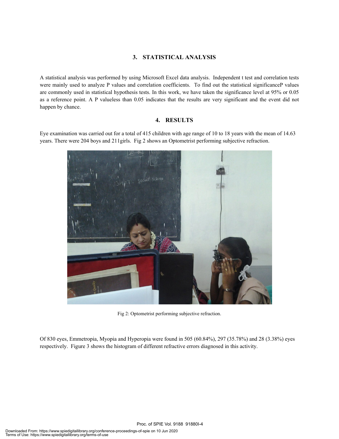#### **3. STATISTICAL ANALYSIS**

A statistical analysis was performed by using Microsoft Excel data analysis. Independent t test and correlation tests were mainly used to analyze P values and correlation coefficients. To find out the statistical significanceP values are commonly used in statistical hypothesis tests. In this work, we have taken the significance level at 95% or 0.05 as a reference point. A P valueless than 0.05 indicates that the results are very significant and the event did not happen by chance.

#### **4. RESULTS**

Eye examination was carried out for a total of 415 children with age range of 10 to 18 years with the mean of 14.63 years. There were 204 boys and 211girls. Fig 2 shows an Optometrist performing subjective refraction.



Fig 2: Optometrist performing subjective refraction.

Of 830 eyes, Emmetropia, Myopia and Hyperopia were found in 505 (60.84%), 297 (35.78%) and 28 (3.38%) eyes respectively. Figure 3 shows the histogram of different refractive errors diagnosed in this activity.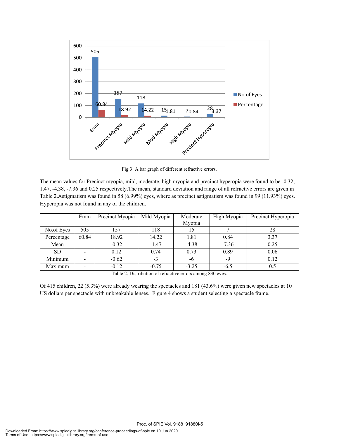

Fig 3: A bar graph of different refractive errors.

The mean values for Precinct myopia, mild, moderate, high myopia and precinct hyperopia were found to be -0.32, - 1.47, -4.38, -7.36 and 0.25 respectively.The mean, standard deviation and range of all refractive errors are given in Table 2.Astigmatism was found in 58 (6.99%) eyes, where as precinct astigmatism was found in 99 (11.93%) eyes. Hyperopia was not found in any of the children.

|            | Emm   | Precinct Myopia | Mild Myopia | Moderate<br>Myopia | High Myopia | Precinct Hyperopia |
|------------|-------|-----------------|-------------|--------------------|-------------|--------------------|
| No.of Eyes | 505   | 157             | 118         | 15                 |             | 28                 |
| Percentage | 60.84 | 18.92           | 14.22       | 1.81               | 0.84        | 3.37               |
| Mean       |       | $-0.32$         | $-1.47$     | $-4.38$            | $-7.36$     | 0.25               |
| <b>SD</b>  |       | 0.12            | 0.74        | 0.73               | 0.89        | 0.06               |
| Minimum    |       | $-0.62$         | $-3$        | -6                 | -9          | 0.12               |
| Maximum    |       | $-0.12$         | $-0.75$     | $-3.25$            | $-6.5$      | 0.5                |

Table 2: Distribution of refractive errors among 830 eyes.

Of 415 children, 22 (5.3%) were already wearing the spectacles and 181 (43.6%) were given new spectacles at 10 US dollars per spectacle with unbreakable lenses. Figure 4 shows a student selecting a spectacle frame.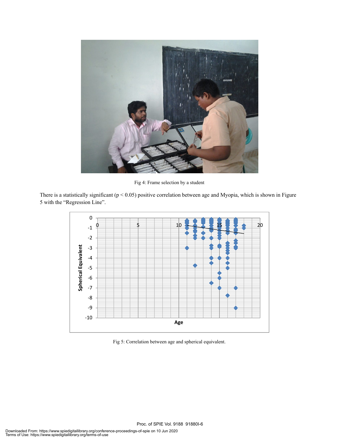

Fig 4: Frame selection by a student

There is a statistically significant ( $p < 0.05$ ) positive correlation between age and Myopia, which is shown in Figure 5 with the "Regression Line".



Fig 5: Correlation between age and spherical equivalent.